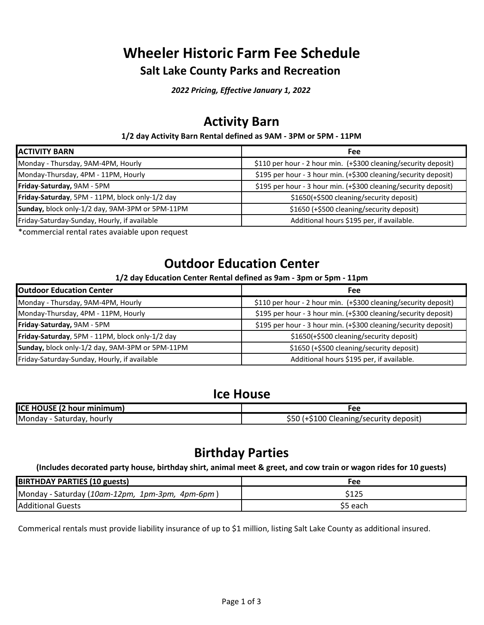# **Wheeler Historic Farm Fee Schedule Salt Lake County Parks and Recreation**

*2022 Pricing, Effective January 1, 2022*

# **Activity Barn**

#### **1/2 day Activity Barn Rental defined as 9AM - 3PM or 5PM - 11PM**

| <b>ACTIVITY BARN</b>                            | <b>Fee</b>                                                      |
|-------------------------------------------------|-----------------------------------------------------------------|
| Monday - Thursday, 9AM-4PM, Hourly              | \$110 per hour - 2 hour min. (+\$300 cleaning/security deposit) |
| Monday-Thursday, 4PM - 11PM, Hourly             | \$195 per hour - 3 hour min. (+\$300 cleaning/security deposit) |
| Friday-Saturday, 9AM - 5PM                      | \$195 per hour - 3 hour min. (+\$300 cleaning/security deposit) |
| Friday-Saturday, 5PM - 11PM, block only-1/2 day | \$1650(+\$500 cleaning/security deposit)                        |
| Sunday, block only-1/2 day, 9AM-3PM or 5PM-11PM | \$1650 (+\$500 cleaning/security deposit)                       |
| Friday-Saturday-Sunday, Hourly, if available    | Additional hours \$195 per, if available.                       |

\*commercial rental rates avaiable upon request

# **Outdoor Education Center**

### **1/2 day Education Center Rental defined as 9am - 3pm or 5pm - 11pm**

| <b>Outdoor Education Center</b>                 | <b>Fee</b>                                                      |
|-------------------------------------------------|-----------------------------------------------------------------|
| Monday - Thursday, 9AM-4PM, Hourly              | \$110 per hour - 2 hour min. (+\$300 cleaning/security deposit) |
| Monday-Thursday, 4PM - 11PM, Hourly             | \$195 per hour - 3 hour min. (+\$300 cleaning/security deposit) |
| Friday-Saturday, 9AM - 5PM                      | \$195 per hour - 3 hour min. (+\$300 cleaning/security deposit) |
| Friday-Saturday, 5PM - 11PM, block only-1/2 day | \$1650(+\$500 cleaning/security deposit)                        |
| Sunday, block only-1/2 day, 9AM-3PM or 5PM-11PM | \$1650 (+\$500 cleaning/security deposit)                       |
| Friday-Saturday-Sunday, Hourly, if available    | Additional hours \$195 per, if available.                       |

### **Ice House**

| ICE HOUSE (2 hour minimum) | -ее                        |
|----------------------------|----------------------------|
| Monday ·                   | \$50 <sub>2</sub>          |
| hourly                     | (+\$100                    |
| Saturday,                  | Cleaning/security deposit) |

# **Birthday Parties**

**(Includes decorated party house, birthday shirt, animal meet & greet, and cow train or wagon rides for 10 guests)**

| <b>BIRTHDAY PARTIES (10 guests)</b>              | Fee     |
|--------------------------------------------------|---------|
| [Monday - Saturday (10am-12pm, 1pm-3pm, 4pm-6pm) | \$125   |
| <b>Additional Guests</b>                         | S5 each |

Commerical rentals must provide liability insurance of up to \$1 million, listing Salt Lake County as additional insured.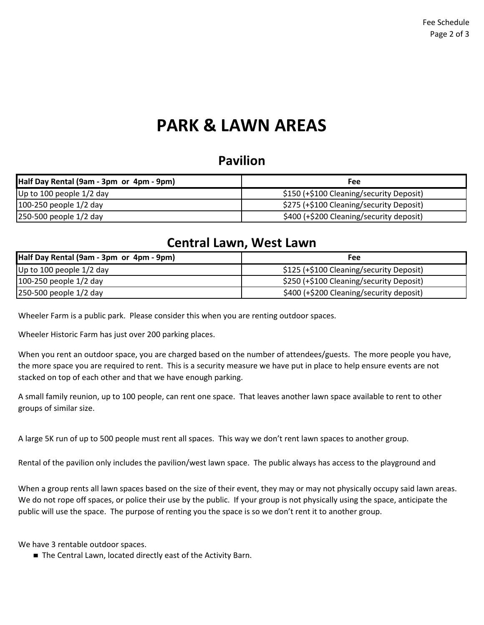# **PARK & LAWN AREAS**

## **Pavilion**

| Half Day Rental (9am - 3pm or 4pm - 9pm) | Fee                                      |
|------------------------------------------|------------------------------------------|
| Up to 100 people $1/2$ day               | \$150 (+\$100 Cleaning/security Deposit) |
| 100-250 people 1/2 day                   | \$275 (+\$100 Cleaning/security Deposit) |
| 250-500 people 1/2 day                   | \$400 (+\$200 Cleaning/security deposit) |

## **Central Lawn, West Lawn**

| Half Day Rental (9am - 3pm or 4pm - 9pm) | Fee                                      |
|------------------------------------------|------------------------------------------|
| Up to 100 people $1/2$ day               | \$125 (+\$100 Cleaning/security Deposit) |
| 100-250 people 1/2 day                   | \$250 (+\$100 Cleaning/security Deposit) |
| 250-500 people 1/2 day                   | \$400 (+\$200 Cleaning/security deposit) |

Wheeler Farm is a public park. Please consider this when you are renting outdoor spaces.

Wheeler Historic Farm has just over 200 parking places.

When you rent an outdoor space, you are charged based on the number of attendees/guests. The more people you have, the more space you are required to rent. This is a security measure we have put in place to help ensure events are not stacked on top of each other and that we have enough parking.

A small family reunion, up to 100 people, can rent one space. That leaves another lawn space available to rent to other groups of similar size.

A large 5K run of up to 500 people must rent all spaces. This way we don't rent lawn spaces to another group.

Rental of the pavilion only includes the pavilion/west lawn space. The public always has access to the playground and

When a group rents all lawn spaces based on the size of their event, they may or may not physically occupy said lawn areas. We do not rope off spaces, or police their use by the public. If your group is not physically using the space, anticipate the public will use the space. The purpose of renting you the space is so we don't rent it to another group.

We have 3 rentable outdoor spaces.

■ The Central Lawn, located directly east of the Activity Barn.